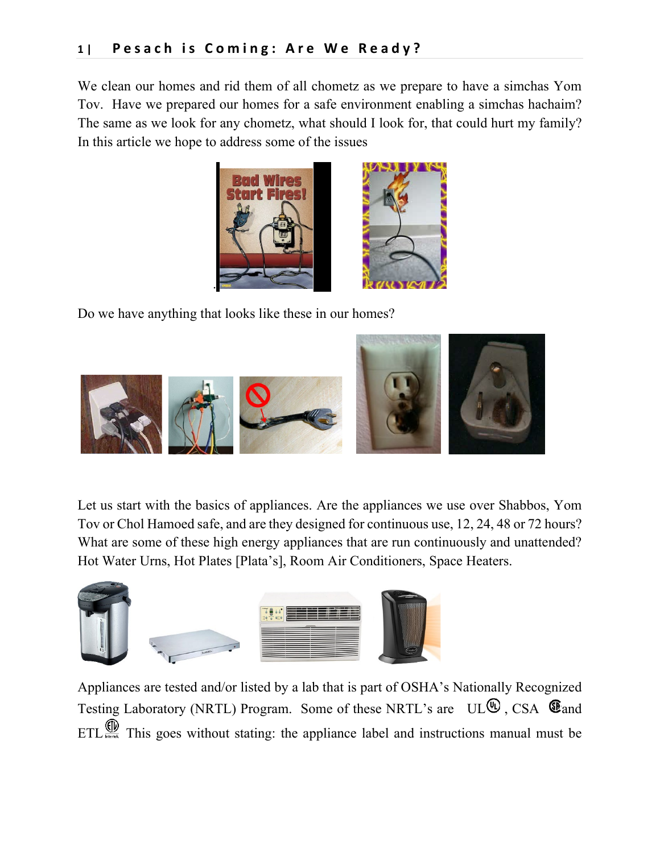We clean our homes and rid them of all chometz as we prepare to have a simchas Yom Tov. Have we prepared our homes for a safe environment enabling a simchas hachaim? The same as we look for any chometz, what should I look for, that could hurt my family? In this article we hope to address some of the issues



Do we have anything that looks like these in our homes?



Let us start with the basics of appliances. Are the appliances we use over Shabbos, Yom Tov or Chol Hamoed safe, and are they designed for continuous use, 12, 24, 48 or 72 hours? What are some of these high energy appliances that are run continuously and unattended? Hot Water Urns, Hot Plates [Plata's], Room Air Conditioners, Space Heaters.



Appliances are tested and/or listed by a lab that is part of OSHA's Nationally Recognized Testing Laboratory (NRTL) Program. Some of these NRTL's are  $UL<sup>①</sup>$ , CSA  $\mathbf$  $\mathbf$  and ETL  $\overset{\text{(1)}{\bigoplus}}$  This goes without stating: the appliance label and instructions manual must be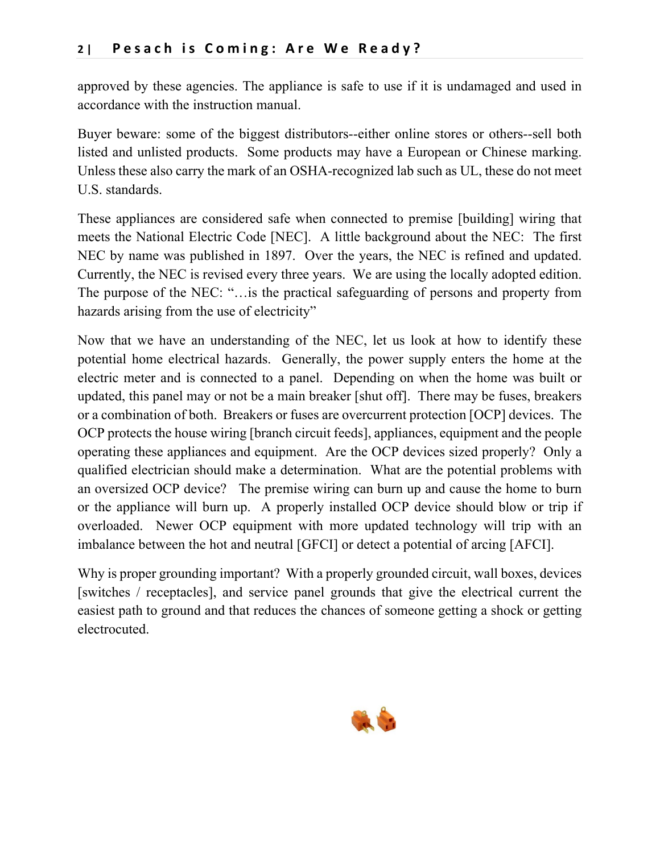approved by these agencies. The appliance is safe to use if it is undamaged and used in accordance with the instruction manual.

Buyer beware: some of the biggest distributors--either online stores or others--sell both listed and unlisted products. Some products may have a European or Chinese marking. Unless these also carry the mark of an OSHA-recognized lab such as UL, these do not meet U.S. standards.

These appliances are considered safe when connected to premise [building] wiring that meets the National Electric Code [NEC]. A little background about the NEC: The first NEC by name was published in 1897. Over the years, the NEC is refined and updated. Currently, the NEC is revised every three years. We are using the locally adopted edition. The purpose of the NEC: "…is the practical safeguarding of persons and property from hazards arising from the use of electricity"

Now that we have an understanding of the NEC, let us look at how to identify these potential home electrical hazards. Generally, the power supply enters the home at the electric meter and is connected to a panel. Depending on when the home was built or updated, this panel may or not be a main breaker [shut off]. There may be fuses, breakers or a combination of both. Breakers or fuses are overcurrent protection [OCP] devices. The OCP protects the house wiring [branch circuit feeds], appliances, equipment and the people operating these appliances and equipment. Are the OCP devices sized properly? Only a qualified electrician should make a determination. What are the potential problems with an oversized OCP device? The premise wiring can burn up and cause the home to burn or the appliance will burn up. A properly installed OCP device should blow or trip if overloaded. Newer OCP equipment with more updated technology will trip with an imbalance between the hot and neutral [GFCI] or detect a potential of arcing [AFCI].

Why is proper grounding important? With a properly grounded circuit, wall boxes, devices [switches / receptacles], and service panel grounds that give the electrical current the easiest path to ground and that reduces the chances of someone getting a shock or getting electrocuted.

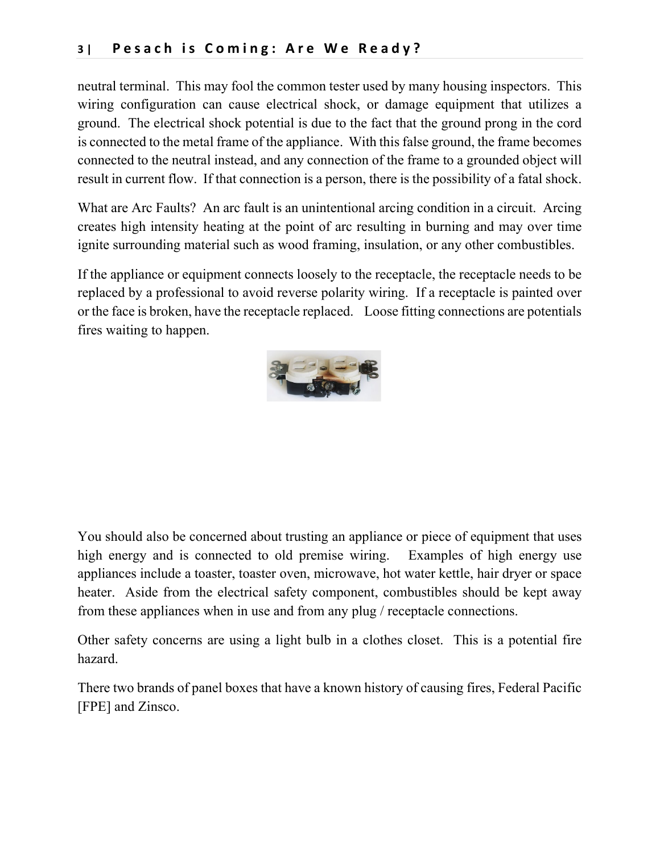neutral terminal. This may fool the common tester used by many housing inspectors. This wiring configuration can cause electrical shock, or damage equipment that utilizes a ground. The electrical shock potential is due to the fact that the ground prong in the cord is connected to the metal frame of the appliance. With this false ground, the frame becomes connected to the neutral instead, and any connection of the frame to a grounded object will result in current flow. If that connection is a person, there is the possibility of a fatal shock.

What are Arc Faults? An arc fault is an unintentional arcing condition in a circuit. Arcing creates high intensity heating at the point of arc resulting in burning and may over time ignite surrounding material such as wood framing, insulation, or any other combustibles.

If the appliance or equipment connects loosely to the receptacle, the receptacle needs to be replaced by a professional to avoid reverse polarity wiring. If a receptacle is painted over or the face is broken, have the receptacle replaced. Loose fitting connections are potentials fires waiting to happen.



You should also be concerned about trusting an appliance or piece of equipment that uses high energy and is connected to old premise wiring. Examples of high energy use appliances include a toaster, toaster oven, microwave, hot water kettle, hair dryer or space heater. Aside from the electrical safety component, combustibles should be kept away from these appliances when in use and from any plug / receptacle connections.

Other safety concerns are using a light bulb in a clothes closet. This is a potential fire hazard.

There two brands of panel boxes that have a known history of causing fires, Federal Pacific [FPE] and Zinsco.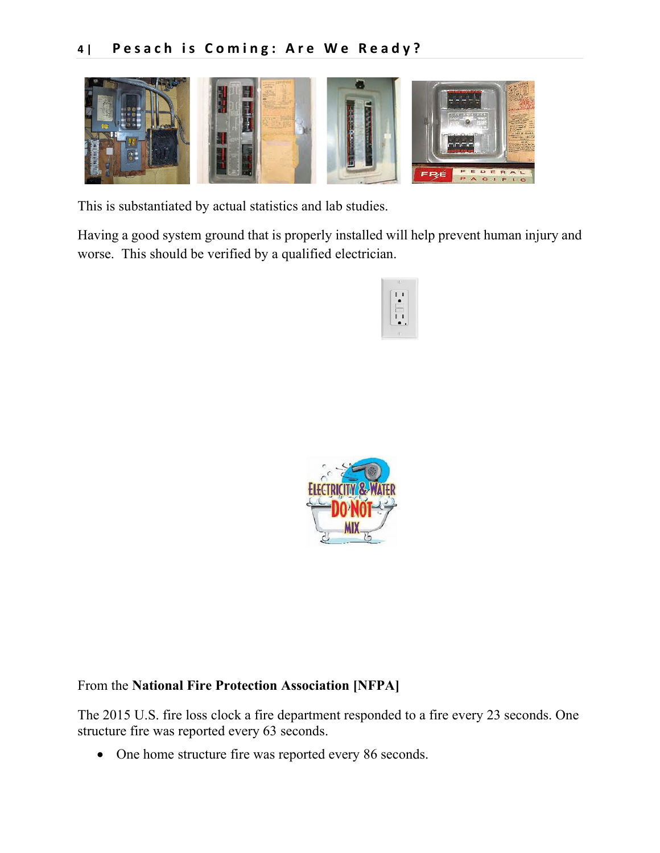

This is substantiated by actual statistics and lab studies.

Having a good system ground that is properly installed will help prevent human injury and worse. This should be verified by a qualified electrician.





# From the **National Fire Protection Association [NFPA]**

The 2015 U.S. fire loss clock a fire department responded to a fire every 23 seconds. One structure fire was reported every 63 seconds.

• One home structure fire was reported every 86 seconds.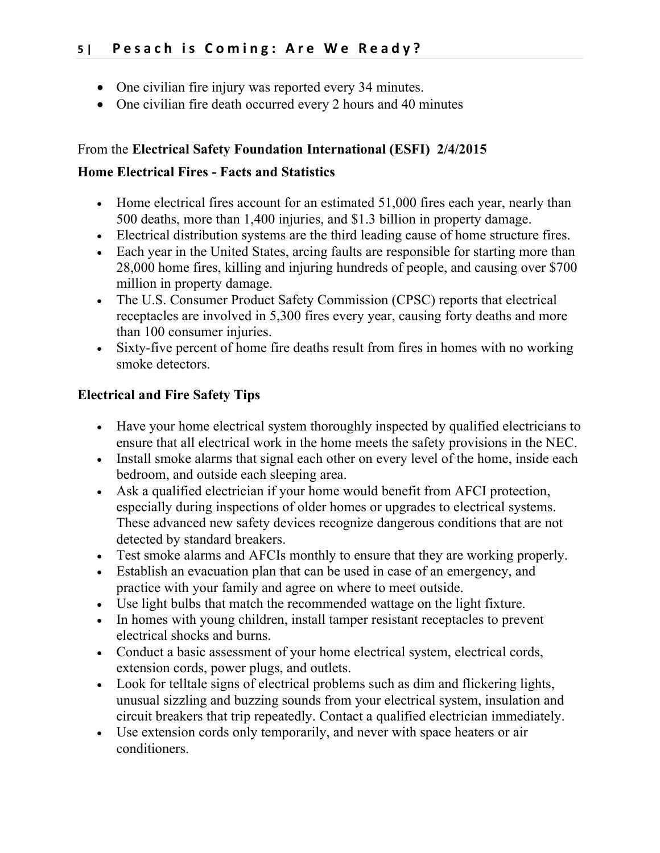- One civilian fire injury was reported every 34 minutes.
- One civilian fire death occurred every 2 hours and 40 minutes

## From the **Electrical Safety Foundation International (ESFI) 2/4/2015**

### **Home Electrical Fires - Facts and Statistics**

- Home electrical fires account for an estimated 51,000 fires each year, nearly than 500 deaths, more than 1,400 injuries, and \$1.3 billion in property damage.
- Electrical distribution systems are the third leading cause of home structure fires.
- Each year in the United States, arcing faults are responsible for starting more than 28,000 home fires, killing and injuring hundreds of people, and causing over \$700 million in property damage.
- The U.S. Consumer Product Safety Commission (CPSC) reports that electrical receptacles are involved in 5,300 fires every year, causing forty deaths and more than 100 consumer injuries.
- Sixty-five percent of home fire deaths result from fires in homes with no working smoke detectors.

## **Electrical and Fire Safety Tips**

- Have your home electrical system thoroughly inspected by qualified electricians to ensure that all electrical work in the home meets the safety provisions in the NEC.
- Install smoke alarms that signal each other on every level of the home, inside each bedroom, and outside each sleeping area.
- Ask a qualified electrician if your home would benefit from AFCI protection, especially during inspections of older homes or upgrades to electrical systems. These advanced new safety devices recognize dangerous conditions that are not detected by standard breakers.
- Test smoke alarms and AFCIs monthly to ensure that they are working properly.
- Establish an evacuation plan that can be used in case of an emergency, and practice with your family and agree on where to meet outside.
- Use light bulbs that match the recommended wattage on the light fixture.
- In homes with young children, install tamper resistant receptacles to prevent electrical shocks and burns.
- Conduct a basic assessment of your home electrical system, electrical cords, extension cords, power plugs, and outlets.
- Look for telltale signs of electrical problems such as dim and flickering lights, unusual sizzling and buzzing sounds from your electrical system, insulation and circuit breakers that trip repeatedly. Contact a qualified electrician immediately.
- Use extension cords only temporarily, and never with space heaters or air conditioners.